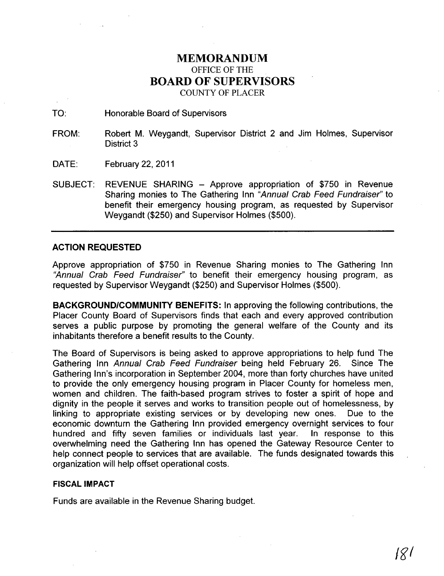## **MEMORANDUM**  OFFICE OF THE **BOARD OF SUPERVISORS**  COUNTY OF PLACER

TO: Honorable Board of Supervisors

FROM: Robert M. Weygandt, Supervisor District 2 and Jim Holmes, Supervisor District 3

- DATE: February 22, 2011
- SUBJECT: REVENUE SHARING Approve appropriation of \$750 in Revenue Sharing monies to The Gathering Inn "Annual Crab Feed Fundraiser" to benefit their emergency housing program, as requested by Supervisor Weygandt (\$250) and Supervisor Holmes (\$500).

## **ACTION REQUESTED**

Approve appropriation of \$750 in Revenue Sharing monies to The Gathering Inn "Annual Crab Feed Fundraiser" to benefit their emergency housing program, as requested by Supervisor Weygandt (\$250) and Supervisor Holmes (\$500).

**BACKGROUND/COMMUNITY BENEFITS:** In approving the following contributions, the Placer County Board of Supervisors finds that each and every approved contribution serves a public purpose by promoting the general welfare of the County and its inhabitants therefore a benefit results to the County.

The Board of Supervisors is being asked to approve appropriations to help fund The Gathering Inn Annual Crab Feed Fundraiser being held February 26. Since The Gathering Inn's incorporation in September 2004, more than forty churches have united to provide the only emergency housing program in Placer County for homeless men, women and children. The faith-based program strives to foster a spirit of hope and dignity in the people it serves and works to transition people out of homelessness, by linking to appropriate existing services or by developing new ones. Due to the economic downturn the Gathering Inn provided emergency overnight services to four hundred and fifty seven families or individuals last year. In response to this overwhelming need the Gathering Inn has opened the Gateway Resource Center to help connect people to services that are available. The funds designated towards this organization will help offset operational costs.

## **FISCAL IMPACT**

Funds are available in the Revenue Sharing budget.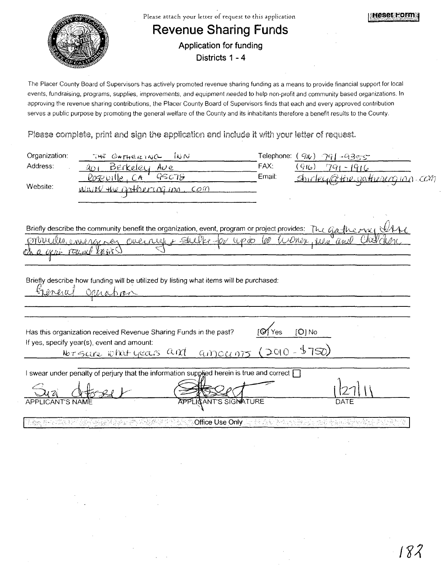

The Placer County Board of Supervisors has actively promoted revenue sharing funding as a means to provide financial support for local events, fundraising, programs, supplies, improvements, and equipment needed to help non-profit and community based organizations. In approving the revenue sharing contributions, the Placer County Board of Supervisors finds that each and every approved contribution serves a public purpose by promoting the general welfare of the County and its inhabitants therefore a benefit results to the County.

Please complete, print and sign the application and include it with your letter of request.

| Organization:           | $\infty$<br>THE GATHERING                                                                                    |                                        | Telephone: $(\varphi/\psi)$ | - 791 - 9335                         |  |
|-------------------------|--------------------------------------------------------------------------------------------------------------|----------------------------------------|-----------------------------|--------------------------------------|--|
| Address:                | <u>Berkeley Ave</u><br>$\partial_{O}$                                                                        |                                        | FAX:                        | (916)<br>$791 - 1916$                |  |
|                         | 95078<br><u>Roseville, CA</u>                                                                                |                                        | Email:                      | <u>Shirley@tine.gathesem.inn.com</u> |  |
| Website:                | Waite the gother of inn, com                                                                                 |                                        |                             |                                      |  |
|                         |                                                                                                              |                                        |                             |                                      |  |
|                         |                                                                                                              |                                        |                             |                                      |  |
|                         | Briefly describe the community benefit the organization, event, program or project provides: The Gastine ryc |                                        |                             |                                      |  |
|                         | <u>Moucher concrer ver overright suller for up to COO Winen, reen and</u>                                    |                                        |                             |                                      |  |
|                         | TOURLE KRAS                                                                                                  |                                        |                             |                                      |  |
|                         |                                                                                                              |                                        |                             |                                      |  |
|                         |                                                                                                              |                                        |                             |                                      |  |
|                         | Briefly describe how funding will be utilized by listing what items will be purchased:                       |                                        |                             |                                      |  |
| Gieneral                | Orichan                                                                                                      |                                        |                             |                                      |  |
|                         |                                                                                                              |                                        |                             |                                      |  |
|                         |                                                                                                              |                                        |                             |                                      |  |
|                         | Has this organization received Revenue Sharing Funds in the past?                                            |                                        | <b>[Ø1</b> Yes              | $[O]$ No                             |  |
|                         | If yes, specify year(s), event and amount:                                                                   |                                        |                             |                                      |  |
|                         | Nor sare what years and                                                                                      | <u>amounts</u> (2010-\$750)            |                             |                                      |  |
|                         |                                                                                                              |                                        |                             |                                      |  |
|                         | I swear under penalty of perjury that the information supplied herein is true and correct $\Box$             |                                        |                             |                                      |  |
|                         |                                                                                                              |                                        |                             |                                      |  |
| <b>APPLICANT'S NAME</b> |                                                                                                              | <b>APPLICANT'S SIGNATURE</b>           |                             | DATE                                 |  |
|                         |                                                                                                              |                                        |                             |                                      |  |
|                         |                                                                                                              | <b>Office Use Only</b> for the control |                             | 16번원 A                               |  |
|                         |                                                                                                              |                                        |                             |                                      |  |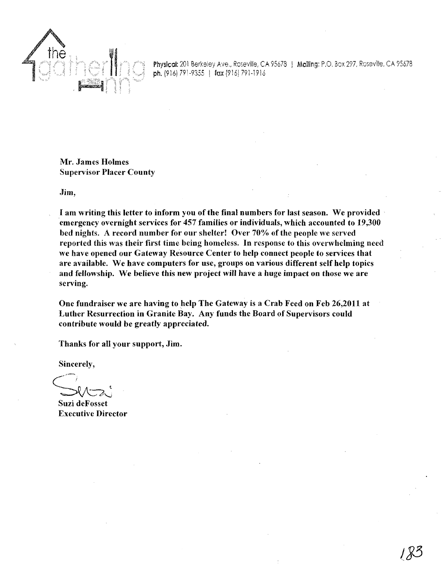

Physical: 201 Berkeley Ave., Roseville, CA 95678 | Mailing: P.O. Box 297, Roseville, CA 95678 ph. (916) 791-9355 | fax (916) 791-1916

Mr. James Holmes Supervisor Placer County

Jim,

I am writing this letter to inform you of the final numbers for last season. We provided emergency overnight services for 457 families or individuals, which accounted to 19,300 bed nights. A record number for our shelter! Over 70% of the people we served reported this was their first time being homeless. In response to this overwhelming need we have opened our Gateway Resource Center to help connect people to services that are available. We have computers for use, groups on various different self help topics and fellowship. We believe this new project will have a huge impact on those we are serving.

One fundraiser we are having to help The Gateway is a Crab Feed on Feb 26,2011 at Luther Resurrection in Granite Bay. Any funds the Board of Supervisors could contribute would be greatly appreciated.

Thanks for all your support, Jim.

Sincerely,

Suzi deFosset Executive Director